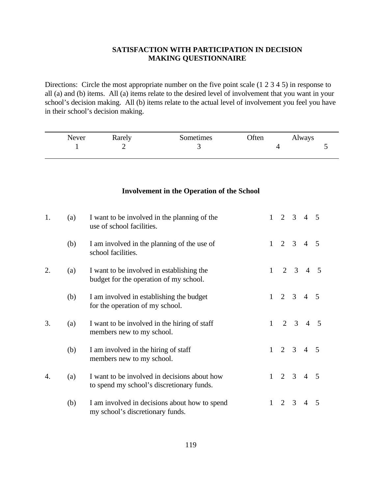## **SATISFACTION WITH PARTICIPATION IN DECISION MAKING QUESTIONNAIRE**

Directions: Circle the most appropriate number on the five point scale (1 2 3 4 5) in response to all (a) and (b) items. All (a) items relate to the desired level of involvement that you want in your school's decision making. All (b) items relate to the actual level of involvement you feel you have in their school's decision making.

| Never | Rarely | Sometimes | Often | Always |
|-------|--------|-----------|-------|--------|
|       |        |           |       |        |

## **Involvement in the Operation of the School**

| 1. | (a) | I want to be involved in the planning of the<br>use of school facilities.                 | 1            | $2 \quad 3$                 |                | $\overline{4}$ | $\overline{5}$           |
|----|-----|-------------------------------------------------------------------------------------------|--------------|-----------------------------|----------------|----------------|--------------------------|
|    | (b) | I am involved in the planning of the use of<br>school facilities.                         | $\mathbf{1}$ | 2                           | 3              | $\overline{4}$ | $\overline{\mathcal{L}}$ |
| 2. | (a) | I want to be involved in establishing the<br>budget for the operation of my school.       | $\mathbf{1}$ | $\mathcal{D}_{\mathcal{L}}$ | $\overline{3}$ | $\overline{4}$ | -5                       |
|    | (b) | I am involved in establishing the budget<br>for the operation of my school.               | 1            | $2^{\circ}$                 | 3              | 4              | $\overline{5}$           |
| 3. | (a) | I want to be involved in the hiring of staff<br>members new to my school.                 | $\mathbf{1}$ |                             | $2 \quad 3$    | $\overline{4}$ | .5                       |
|    | (b) | I am involved in the hiring of staff<br>members new to my school.                         | 1            | $2 \quad 3$                 |                | $\overline{4}$ | $\overline{5}$           |
| 4. | (a) | I want to be involved in decisions about how<br>to spend my school's discretionary funds. | $\mathbf{1}$ | $2 \quad 3$                 |                | $\overline{4}$ | $\overline{5}$           |
|    | (b) | I am involved in decisions about how to spend<br>my school's discretionary funds.         | $\mathbf{1}$ | $\overline{2}$              | 3              | $\overline{4}$ | $\overline{5}$           |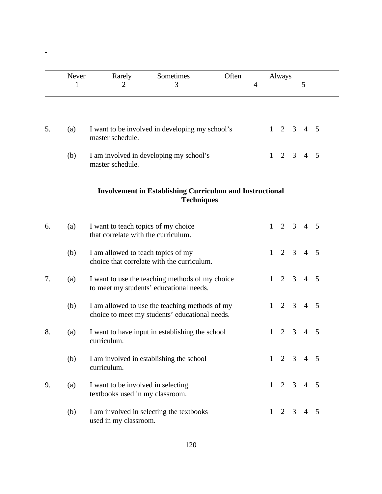|    | Never<br>1 | Rarely<br>$\overline{2}$                                                   | Sometimes<br>3                                                                                   | Often | $\overline{4}$ |              | Always         |                | 5              |   |
|----|------------|----------------------------------------------------------------------------|--------------------------------------------------------------------------------------------------|-------|----------------|--------------|----------------|----------------|----------------|---|
|    |            |                                                                            |                                                                                                  |       |                |              |                |                |                |   |
| 5. | (a)        | master schedule.                                                           | I want to be involved in developing my school's                                                  |       |                | 1            | 2              | 3              | $\overline{4}$ | 5 |
|    | (b)        | master schedule.                                                           | I am involved in developing my school's                                                          |       |                | 1            | $\overline{2}$ | 3              | $\overline{4}$ | 5 |
|    |            |                                                                            | <b>Involvement in Establishing Curriculum and Instructional</b><br><b>Techniques</b>             |       |                |              |                |                |                |   |
| 6. | (a)        | I want to teach topics of my choice<br>that correlate with the curriculum. |                                                                                                  |       |                | 1            | $\overline{2}$ | 3              | $\overline{4}$ | 5 |
|    | (b)        | I am allowed to teach topics of my                                         | choice that correlate with the curriculum.                                                       |       |                | 1            | 2              | $\overline{3}$ | $\overline{4}$ | 5 |
| 7. | (a)        |                                                                            | I want to use the teaching methods of my choice<br>to meet my students' educational needs.       |       |                | 1            | $\overline{2}$ | 3              | $\overline{4}$ | 5 |
|    | (b)        |                                                                            | I am allowed to use the teaching methods of my<br>choice to meet my students' educational needs. |       |                | $\mathbf{1}$ | $\overline{2}$ | 3              | $\overline{4}$ | 5 |
| 8. | (a)        | curriculum.                                                                | I want to have input in establishing the school                                                  |       |                | 1            | 2              | 3              | $\overline{4}$ | 5 |
|    | (b)        | curriculum.                                                                | I am involved in establishing the school                                                         |       |                | 1            | 2              | 3              | $\overline{4}$ | 5 |
| 9. | (a)        | I want to be involved in selecting<br>textbooks used in my classroom.      |                                                                                                  |       |                | 1            | 2              | 3              | $\overline{4}$ | 5 |
|    | (b)        | used in my classroom.                                                      | I am involved in selecting the textbooks                                                         |       |                | $\mathbf{1}$ | 2              | 3              | $\overline{4}$ | 5 |

 $\frac{1}{\sqrt{2}}$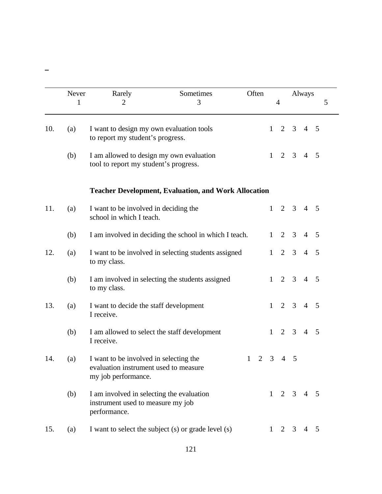| Never      | Rarely<br>$\overline{2}$                                                                               | Sometimes<br>3                                              |              | Often |              | $\overline{4}$      |   | Always         | 5          |
|------------|--------------------------------------------------------------------------------------------------------|-------------------------------------------------------------|--------------|-------|--------------|---------------------|---|----------------|------------|
| 1          |                                                                                                        |                                                             |              |       |              |                     |   |                |            |
| 10.<br>(a) | I want to design my own evaluation tools<br>to report my student's progress.                           |                                                             |              |       | 1            | 2                   | 3 | $\overline{4}$ | 5          |
| (b)        | I am allowed to design my own evaluation<br>tool to report my student's progress.                      |                                                             |              |       | $\mathbf{1}$ | 2                   | 3 | $\overline{4}$ | 5          |
|            |                                                                                                        | <b>Teacher Development, Evaluation, and Work Allocation</b> |              |       |              |                     |   |                |            |
| 11.<br>(a) | I want to be involved in deciding the<br>school in which I teach.                                      |                                                             |              |       | $\mathbf{1}$ | $\overline{2}$      | 3 | $4\quad 5$     |            |
| (b)        |                                                                                                        | I am involved in deciding the school in which I teach.      |              |       | $\mathbf{1}$ | 2                   | 3 | $\overline{4}$ | 5          |
| 12.<br>(a) | to my class.                                                                                           | I want to be involved in selecting students assigned        |              |       | $\mathbf{1}$ | 2                   | 3 | $\overline{4}$ | 5          |
| (b)        | to my class.                                                                                           | I am involved in selecting the students assigned            |              |       | $\mathbf{1}$ | 2                   | 3 | $\overline{4}$ | 5          |
| 13.<br>(a) | I want to decide the staff development<br>I receive.                                                   |                                                             |              |       | $\mathbf{1}$ | $\overline{2}$      | 3 | $\overline{4}$ | 5          |
| (b)        | I am allowed to select the staff development<br>I receive.                                             |                                                             |              |       | $\mathbf{1}$ | 2                   | 3 | $\overline{4}$ | 5          |
| 14.<br>(a) | I want to be involved in selecting the<br>evaluation instrument used to measure<br>my job performance. |                                                             | $\mathbf{1}$ | 2     | 3            | $\overline{4}$      | 5 |                |            |
| (b)        | I am involved in selecting the evaluation<br>instrument used to measure my job<br>performance.         |                                                             |              |       |              | $1 \quad 2 \quad 3$ |   | $4\quad 5$     |            |
| 15.<br>(a) |                                                                                                        | I want to select the subject (s) or grade level (s)         |              |       | $\mathbf{1}$ | 2                   | 3 |                | $4\quad 5$ |

 $\overline{\phantom{a}}$ 

121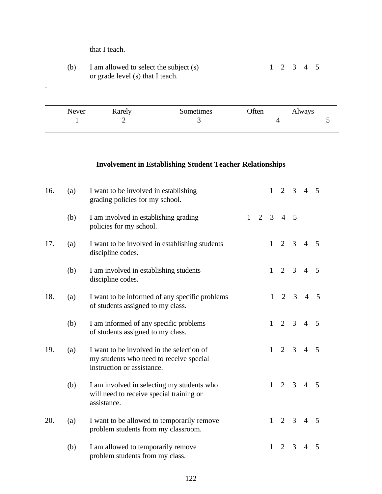that I teach.

 $\omega$ 

(b) I am allowed to select the subject (s)  $1 \t 2 \t 3 \t 4 \t 5$ or grade level (s) that I teach.

| Never | Rarely | Sometimes | Often | Always |  |
|-------|--------|-----------|-------|--------|--|
|       |        |           |       |        |  |
|       |        |           |       |        |  |

## **Involvement in Establishing Student Teacher Relationships**

| 16. | (a) | I want to be involved in establishing<br>grading policies for my school.                                           |   |                | $\mathbf{1}$ | $\overline{2}$ | $\overline{3}$ | $\overline{4}$ | $\mathfrak{S}$ |
|-----|-----|--------------------------------------------------------------------------------------------------------------------|---|----------------|--------------|----------------|----------------|----------------|----------------|
|     | (b) | I am involved in establishing grading<br>policies for my school.                                                   | 1 | $\overline{2}$ | 3            | $\overline{4}$ | $\overline{5}$ |                |                |
| 17. | (a) | I want to be involved in establishing students<br>discipline codes.                                                |   |                | $\mathbf{1}$ | $\overline{2}$ | 3              | $\overline{4}$ | 5              |
|     | (b) | I am involved in establishing students<br>discipline codes.                                                        |   |                | $\mathbf{1}$ | $\overline{2}$ | $\overline{3}$ | $\overline{4}$ | 5              |
| 18. | (a) | I want to be informed of any specific problems<br>of students assigned to my class.                                |   |                | $\mathbf{1}$ | $\overline{2}$ | 3              | $\overline{4}$ | -5             |
|     | (b) | I am informed of any specific problems<br>of students assigned to my class.                                        |   |                | $\mathbf{1}$ | 2              | $\overline{3}$ | $\overline{4}$ | .5             |
| 19. | (a) | I want to be involved in the selection of<br>my students who need to receive special<br>instruction or assistance. |   |                | $\mathbf{1}$ | $\overline{2}$ | 3              | $\overline{4}$ | 5              |
|     | (b) | I am involved in selecting my students who<br>will need to receive special training or<br>assistance.              |   |                | $\mathbf{1}$ | $\overline{2}$ | 3              | $\overline{4}$ | $\overline{5}$ |
| 20. | (a) | I want to be allowed to temporarily remove<br>problem students from my classroom.                                  |   |                | $\mathbf{1}$ | $\overline{2}$ | 3              | $\overline{4}$ | 5              |
|     | (b) | I am allowed to temporarily remove<br>problem students from my class.                                              |   |                | $\mathbf{1}$ | 2              | 3              | $\overline{4}$ | 5              |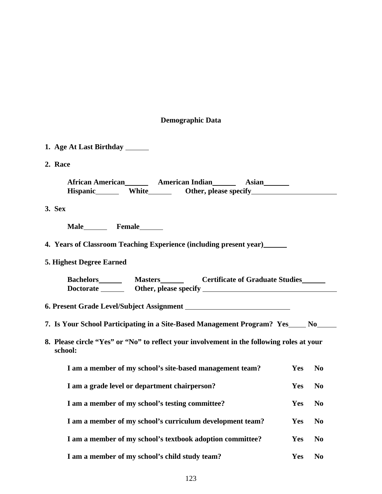## **Demographic Data**

| 1. Age At Last Birthday ______                                                                                                                                                                                                                                                                                          |            |                |
|-------------------------------------------------------------------------------------------------------------------------------------------------------------------------------------------------------------------------------------------------------------------------------------------------------------------------|------------|----------------|
| 2. Race                                                                                                                                                                                                                                                                                                                 |            |                |
| African American <b>Material American Indian</b> Asian Asian<br>Hispanic_________ White_________ Other, please specify___________________________                                                                                                                                                                       |            |                |
| 3. Sex                                                                                                                                                                                                                                                                                                                  |            |                |
|                                                                                                                                                                                                                                                                                                                         |            |                |
| 4. Years of Classroom Teaching Experience (including present year)                                                                                                                                                                                                                                                      |            |                |
| 5. Highest Degree Earned                                                                                                                                                                                                                                                                                                |            |                |
| Masters <b>Masters</b> Certificate of Graduate Studies<br><b>Bachelors</b><br>Doctorate <u>containing</u> Other, please specify <u>containing the set of the set of the set of the set of the set of the set of the set of the set of the set of the set of the set of the set of the set of the set of the set of </u> |            |                |
|                                                                                                                                                                                                                                                                                                                         |            |                |
| 7. Is Your School Participating in a Site-Based Management Program? Yes _____ No_____                                                                                                                                                                                                                                   |            |                |
| 8. Please circle "Yes" or "No" to reflect your involvement in the following roles at your<br>school:                                                                                                                                                                                                                    |            |                |
| I am a member of my school's site-based management team?                                                                                                                                                                                                                                                                | <b>Yes</b> | N <sub>0</sub> |
| I am a grade level or department chairperson?                                                                                                                                                                                                                                                                           | Yes        | N <sub>0</sub> |
| I am a member of my school's testing committee?                                                                                                                                                                                                                                                                         | Yes        | N <sub>0</sub> |
| I am a member of my school's curriculum development team?                                                                                                                                                                                                                                                               | Yes        | N <sub>0</sub> |
| I am a member of my school's textbook adoption committee?                                                                                                                                                                                                                                                               | Yes        | N <sub>0</sub> |
| I am a member of my school's child study team?                                                                                                                                                                                                                                                                          | Yes        | N <sub>0</sub> |